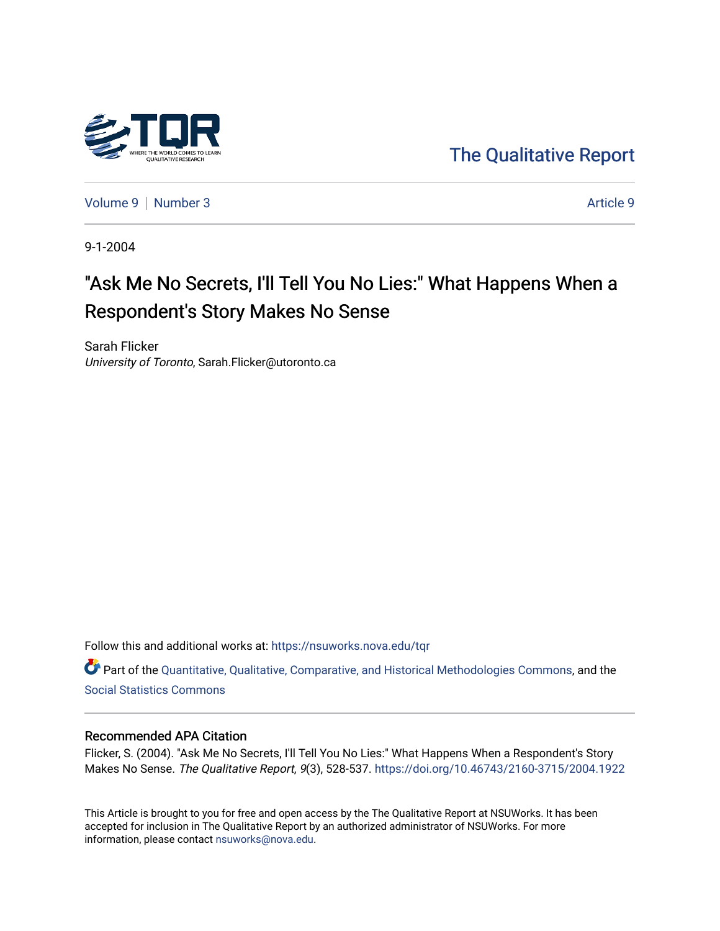

[The Qualitative Report](https://nsuworks.nova.edu/tqr) 

[Volume 9](https://nsuworks.nova.edu/tqr/vol9) | [Number 3](https://nsuworks.nova.edu/tqr/vol9/iss3) Article 9

9-1-2004

# "Ask Me No Secrets, I'll Tell You No Lies:" What Happens When a Respondent's Story Makes No Sense

Sarah Flicker University of Toronto, Sarah.Flicker@utoronto.ca

Follow this and additional works at: [https://nsuworks.nova.edu/tqr](https://nsuworks.nova.edu/tqr?utm_source=nsuworks.nova.edu%2Ftqr%2Fvol9%2Fiss3%2F9&utm_medium=PDF&utm_campaign=PDFCoverPages) 

Part of the [Quantitative, Qualitative, Comparative, and Historical Methodologies Commons,](http://network.bepress.com/hgg/discipline/423?utm_source=nsuworks.nova.edu%2Ftqr%2Fvol9%2Fiss3%2F9&utm_medium=PDF&utm_campaign=PDFCoverPages) and the [Social Statistics Commons](http://network.bepress.com/hgg/discipline/1275?utm_source=nsuworks.nova.edu%2Ftqr%2Fvol9%2Fiss3%2F9&utm_medium=PDF&utm_campaign=PDFCoverPages) 

# Recommended APA Citation

Flicker, S. (2004). "Ask Me No Secrets, I'll Tell You No Lies:" What Happens When a Respondent's Story Makes No Sense. The Qualitative Report, 9(3), 528-537. <https://doi.org/10.46743/2160-3715/2004.1922>

This Article is brought to you for free and open access by the The Qualitative Report at NSUWorks. It has been accepted for inclusion in The Qualitative Report by an authorized administrator of NSUWorks. For more information, please contact [nsuworks@nova.edu.](mailto:nsuworks@nova.edu)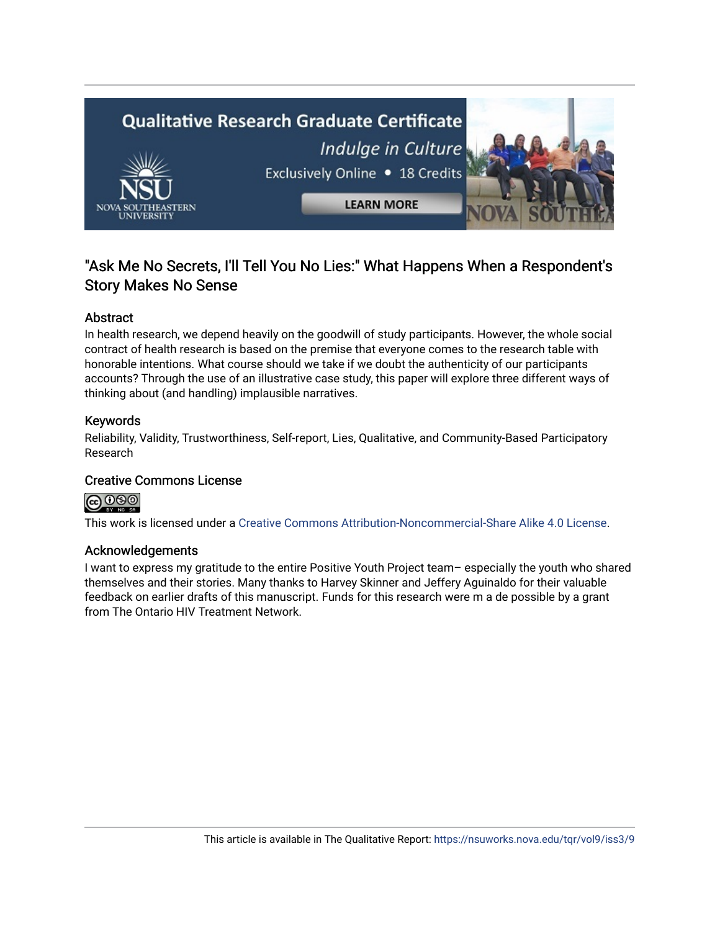

# "Ask Me No Secrets, I'll Tell You No Lies:" What Happens When a Respondent's Story Makes No Sense

# Abstract

In health research, we depend heavily on the goodwill of study participants. However, the whole social contract of health research is based on the premise that everyone comes to the research table with honorable intentions. What course should we take if we doubt the authenticity of our participants accounts? Through the use of an illustrative case study, this paper will explore three different ways of thinking about (and handling) implausible narratives.

# Keywords

Reliability, Validity, Trustworthiness, Self-report, Lies, Qualitative, and Community-Based Participatory Research

# Creative Commons License

# @ 090

This work is licensed under a [Creative Commons Attribution-Noncommercial-Share Alike 4.0 License](https://creativecommons.org/licenses/by-nc-sa/4.0/).

# Acknowledgements

I want to express my gratitude to the entire Positive Youth Project team– especially the youth who shared themselves and their stories. Many thanks to Harvey Skinner and Jeffery Aguinaldo for their valuable feedback on earlier drafts of this manuscript. Funds for this research were m a de possible by a grant from The Ontario HIV Treatment Network.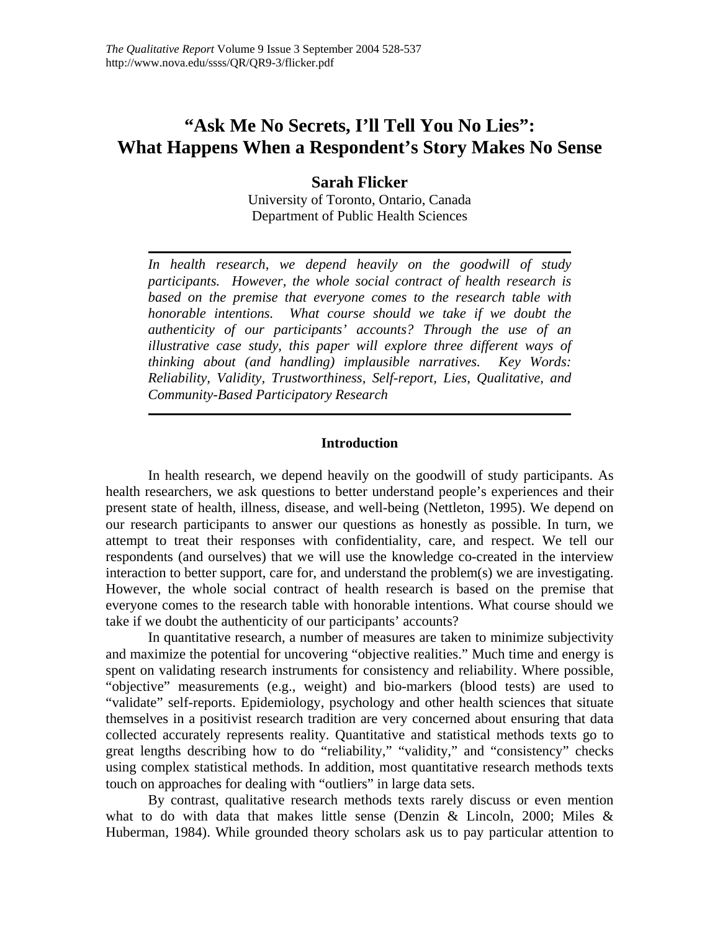# **"Ask Me No Secrets, I'll Tell You No Lies": What Happens When a Respondent's Story Makes No Sense**

**Sarah Flicker** 

University of Toronto, Ontario, Canada Department of Public Health Sciences

*In health research, we depend heavily on the goodwill of study participants. However, the whole social contract of health research is based on the premise that everyone comes to the research table with honorable intentions. What course should we take if we doubt the authenticity of our participants' accounts? Through the use of an illustrative case study, this paper will explore three different ways of thinking about (and handling) implausible narratives. Key Words: Reliability, Validity, Trustworthiness, Self-report, Lies, Qualitative, and Community-Based Participatory Research* 

# **Introduction**

In health research, we depend heavily on the goodwill of study participants. As health researchers, we ask questions to better understand people's experiences and their present state of health, illness, disease, and well-being (Nettleton, 1995). We depend on our research participants to answer our questions as honestly as possible. In turn, we attempt to treat their responses with confidentiality, care, and respect. We tell our respondents (and ourselves) that we will use the knowledge co-created in the interview interaction to better support, care for, and understand the problem(s) we are investigating. However, the whole social contract of health research is based on the premise that everyone comes to the research table with honorable intentions. What course should we take if we doubt the authenticity of our participants' accounts?

In quantitative research, a number of measures are taken to minimize subjectivity and maximize the potential for uncovering "objective realities." Much time and energy is spent on validating research instruments for consistency and reliability. Where possible, "objective" measurements (e.g., weight) and bio-markers (blood tests) are used to "validate" self-reports. Epidemiology, psychology and other health sciences that situate themselves in a positivist research tradition are very concerned about ensuring that data collected accurately represents reality. Quantitative and statistical methods texts go to great lengths describing how to do "reliability," "validity," and "consistency" checks using complex statistical methods. In addition, most quantitative research methods texts touch on approaches for dealing with "outliers" in large data sets.

By contrast, qualitative research methods texts rarely discuss or even mention what to do with data that makes little sense (Denzin & Lincoln, 2000; Miles & Huberman, 1984). While grounded theory scholars ask us to pay particular attention to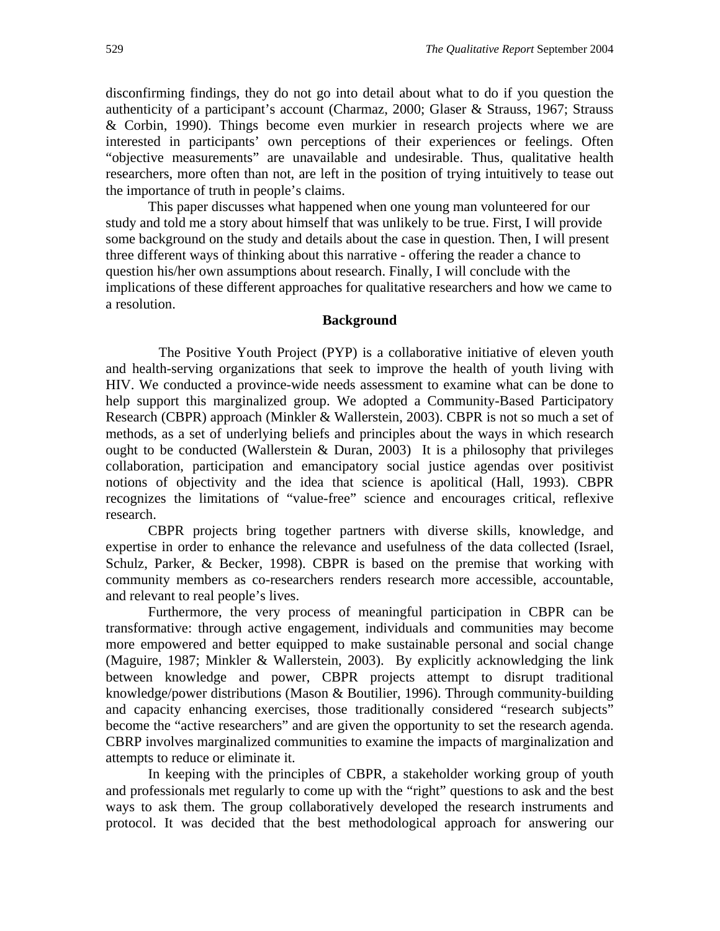disconfirming findings, they do not go into detail about what to do if you question the authenticity of a participant's account (Charmaz, 2000; Glaser & Strauss, 1967; Strauss & Corbin, 1990). Things become even murkier in research projects where we are interested in participants' own perceptions of their experiences or feelings. Often "objective measurements" are unavailable and undesirable. Thus, qualitative health researchers, more often than not, are left in the position of trying intuitively to tease out the importance of truth in people's claims.

 This paper discusses what happened when one young man volunteered for our study and told me a story about himself that was unlikely to be true. First, I will provide some background on the study and details about the case in question. Then, I will present three different ways of thinking about this narrative - offering the reader a chance to question his/her own assumptions about research. Finally, I will conclude with the implications of these different approaches for qualitative researchers and how we came to a resolution.

#### **Background**

 The Positive Youth Project (PYP) is a collaborative initiative of eleven youth and health-serving organizations that seek to improve the health of youth living with HIV. We conducted a province-wide needs assessment to examine what can be done to help support this marginalized group. We adopted a Community-Based Participatory Research (CBPR) approach (Minkler & Wallerstein, 2003). CBPR is not so much a set of methods, as a set of underlying beliefs and principles about the ways in which research ought to be conducted (Wallerstein  $& Duran, 2003$ ) It is a philosophy that privileges collaboration, participation and emancipatory social justice agendas over positivist notions of objectivity and the idea that science is apolitical (Hall, 1993). CBPR recognizes the limitations of "value-free" science and encourages critical, reflexive research.

CBPR projects bring together partners with diverse skills, knowledge, and expertise in order to enhance the relevance and usefulness of the data collected (Israel, Schulz, Parker, & Becker, 1998). CBPR is based on the premise that working with community members as co-researchers renders research more accessible, accountable, and relevant to real people's lives.

Furthermore, the very process of meaningful participation in CBPR can be transformative: through active engagement, individuals and communities may become more empowered and better equipped to make sustainable personal and social change (Maguire, 1987; Minkler & Wallerstein, 2003). By explicitly acknowledging the link between knowledge and power, CBPR projects attempt to disrupt traditional knowledge/power distributions (Mason & Boutilier, 1996). Through community-building and capacity enhancing exercises, those traditionally considered "research subjects" become the "active researchers" and are given the opportunity to set the research agenda. CBRP involves marginalized communities to examine the impacts of marginalization and attempts to reduce or eliminate it.

 In keeping with the principles of CBPR, a stakeholder working group of youth and professionals met regularly to come up with the "right" questions to ask and the best ways to ask them. The group collaboratively developed the research instruments and protocol. It was decided that the best methodological approach for answering our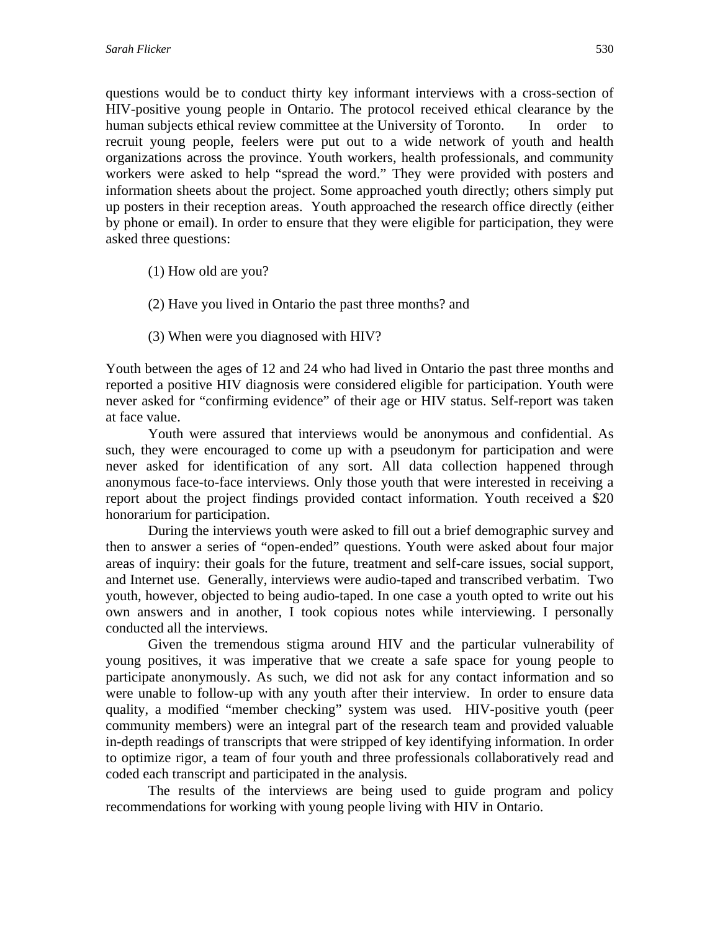questions would be to conduct thirty key informant interviews with a cross-section of HIV-positive young people in Ontario. The protocol received ethical clearance by the human subjects ethical review committee at the University of Toronto. In order to recruit young people, feelers were put out to a wide network of youth and health organizations across the province. Youth workers, health professionals, and community workers were asked to help "spread the word." They were provided with posters and information sheets about the project. Some approached youth directly; others simply put up posters in their reception areas. Youth approached the research office directly (either by phone or email). In order to ensure that they were eligible for participation, they were asked three questions:

- (1) How old are you?
- (2) Have you lived in Ontario the past three months? and
- (3) When were you diagnosed with HIV?

Youth between the ages of 12 and 24 who had lived in Ontario the past three months and reported a positive HIV diagnosis were considered eligible for participation. Youth were never asked for "confirming evidence" of their age or HIV status. Self-report was taken at face value.

 Youth were assured that interviews would be anonymous and confidential. As such, they were encouraged to come up with a pseudonym for participation and were never asked for identification of any sort. All data collection happened through anonymous face-to-face interviews. Only those youth that were interested in receiving a report about the project findings provided contact information. Youth received a \$20 honorarium for participation.

 During the interviews youth were asked to fill out a brief demographic survey and then to answer a series of "open-ended" questions. Youth were asked about four major areas of inquiry: their goals for the future, treatment and self-care issues, social support, and Internet use. Generally, interviews were audio-taped and transcribed verbatim. Two youth, however, objected to being audio-taped. In one case a youth opted to write out his own answers and in another, I took copious notes while interviewing. I personally conducted all the interviews.

 Given the tremendous stigma around HIV and the particular vulnerability of young positives, it was imperative that we create a safe space for young people to participate anonymously. As such, we did not ask for any contact information and so were unable to follow-up with any youth after their interview. In order to ensure data quality, a modified "member checking" system was used. HIV-positive youth (peer community members) were an integral part of the research team and provided valuable in-depth readings of transcripts that were stripped of key identifying information. In order to optimize rigor, a team of four youth and three professionals collaboratively read and coded each transcript and participated in the analysis.

 The results of the interviews are being used to guide program and policy recommendations for working with young people living with HIV in Ontario.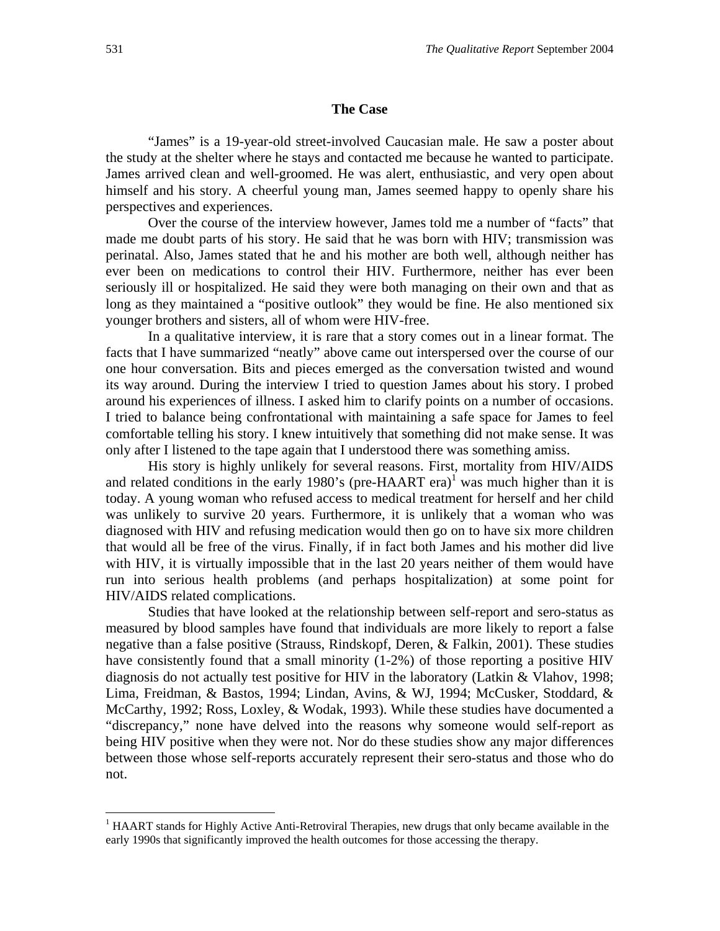#### **The Case**

 "James" is a 19-year-old street-involved Caucasian male. He saw a poster about the study at the shelter where he stays and contacted me because he wanted to participate. James arrived clean and well-groomed. He was alert, enthusiastic, and very open about himself and his story. A cheerful young man, James seemed happy to openly share his perspectives and experiences.

 Over the course of the interview however, James told me a number of "facts" that made me doubt parts of his story. He said that he was born with HIV; transmission was perinatal. Also, James stated that he and his mother are both well, although neither has ever been on medications to control their HIV. Furthermore, neither has ever been seriously ill or hospitalized. He said they were both managing on their own and that as long as they maintained a "positive outlook" they would be fine. He also mentioned six younger brothers and sisters, all of whom were HIV-free.

 In a qualitative interview, it is rare that a story comes out in a linear format. The facts that I have summarized "neatly" above came out interspersed over the course of our one hour conversation. Bits and pieces emerged as the conversation twisted and wound its way around. During the interview I tried to question James about his story. I probed around his experiences of illness. I asked him to clarify points on a number of occasions. I tried to balance being confrontational with maintaining a safe space for James to feel comfortable telling his story. I knew intuitively that something did not make sense. It was only after I listened to the tape again that I understood there was something amiss.

 His story is highly unlikely for several reasons. First, mortality from HIV/AIDS and related conditions in the early 1980's (pre-HAART era)<sup>1</sup> was much higher than it is today. A young woman who refused access to medical treatment for herself and her child was unlikely to survive 20 years. Furthermore, it is unlikely that a woman who was diagnosed with HIV and refusing medication would then go on to have six more children that would all be free of the virus. Finally, if in fact both James and his mother did live with HIV, it is virtually impossible that in the last 20 years neither of them would have run into serious health problems (and perhaps hospitalization) at some point for HIV/AIDS related complications.

 Studies that have looked at the relationship between self-report and sero-status as measured by blood samples have found that individuals are more likely to report a false negative than a false positive (Strauss, Rindskopf, Deren, & Falkin, 2001). These studies have consistently found that a small minority (1-2%) of those reporting a positive HIV diagnosis do not actually test positive for HIV in the laboratory (Latkin & Vlahov, 1998; Lima, Freidman, & Bastos, 1994; Lindan, Avins, & WJ, 1994; McCusker, Stoddard, & McCarthy, 1992; Ross, Loxley, & Wodak, 1993). While these studies have documented a "discrepancy," none have delved into the reasons why someone would self-report as being HIV positive when they were not. Nor do these studies show any major differences between those whose self-reports accurately represent their sero-status and those who do not.

1

<sup>&</sup>lt;sup>1</sup> HAART stands for Highly Active Anti-Retroviral Therapies, new drugs that only became available in the early 1990s that significantly improved the health outcomes for those accessing the therapy.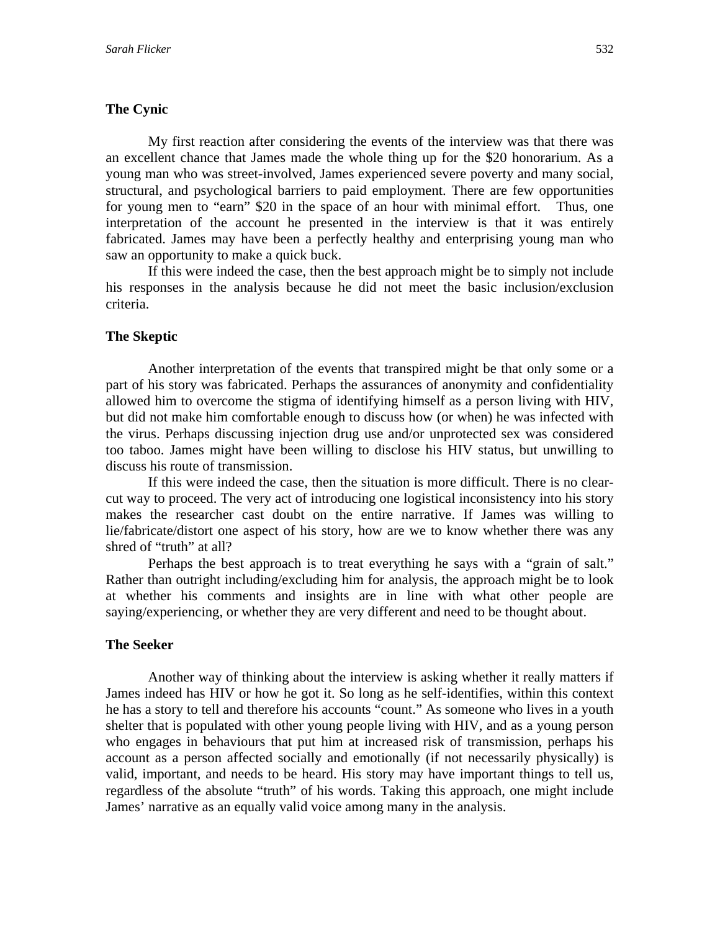# **The Cynic**

 My first reaction after considering the events of the interview was that there was an excellent chance that James made the whole thing up for the \$20 honorarium. As a young man who was street-involved, James experienced severe poverty and many social, structural, and psychological barriers to paid employment. There are few opportunities for young men to "earn" \$20 in the space of an hour with minimal effort. Thus, one interpretation of the account he presented in the interview is that it was entirely fabricated. James may have been a perfectly healthy and enterprising young man who saw an opportunity to make a quick buck.

 If this were indeed the case, then the best approach might be to simply not include his responses in the analysis because he did not meet the basic inclusion/exclusion criteria.

# **The Skeptic**

 Another interpretation of the events that transpired might be that only some or a part of his story was fabricated. Perhaps the assurances of anonymity and confidentiality allowed him to overcome the stigma of identifying himself as a person living with HIV, but did not make him comfortable enough to discuss how (or when) he was infected with the virus. Perhaps discussing injection drug use and/or unprotected sex was considered too taboo. James might have been willing to disclose his HIV status, but unwilling to discuss his route of transmission.

 If this were indeed the case, then the situation is more difficult. There is no clearcut way to proceed. The very act of introducing one logistical inconsistency into his story makes the researcher cast doubt on the entire narrative. If James was willing to lie/fabricate/distort one aspect of his story, how are we to know whether there was any shred of "truth" at all?

 Perhaps the best approach is to treat everything he says with a "grain of salt." Rather than outright including/excluding him for analysis, the approach might be to look at whether his comments and insights are in line with what other people are saying/experiencing, or whether they are very different and need to be thought about.

#### **The Seeker**

 Another way of thinking about the interview is asking whether it really matters if James indeed has HIV or how he got it. So long as he self-identifies, within this context he has a story to tell and therefore his accounts "count." As someone who lives in a youth shelter that is populated with other young people living with HIV, and as a young person who engages in behaviours that put him at increased risk of transmission, perhaps his account as a person affected socially and emotionally (if not necessarily physically) is valid, important, and needs to be heard. His story may have important things to tell us, regardless of the absolute "truth" of his words. Taking this approach, one might include James' narrative as an equally valid voice among many in the analysis.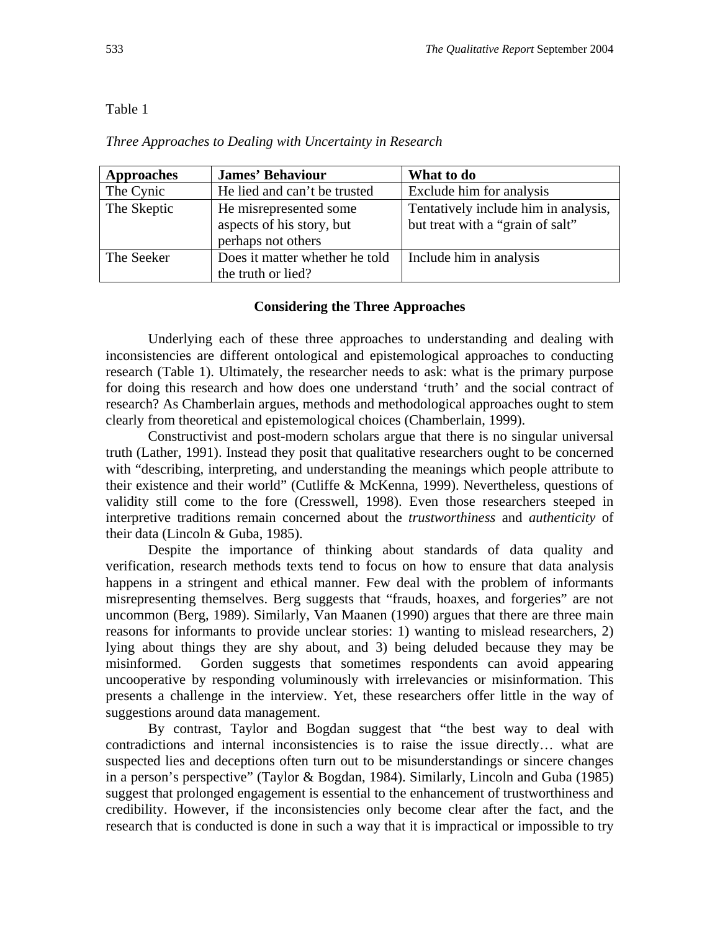# Table 1

### *Three Approaches to Dealing with Uncertainty in Research*

| <b>Approaches</b> | <b>James' Behaviour</b>                                                   | What to do                                                               |
|-------------------|---------------------------------------------------------------------------|--------------------------------------------------------------------------|
| The Cynic         | He lied and can't be trusted                                              | Exclude him for analysis                                                 |
| The Skeptic       | He misrepresented some<br>aspects of his story, but<br>perhaps not others | Tentatively include him in analysis,<br>but treat with a "grain of salt" |
| The Seeker        | Does it matter whether he told<br>the truth or lied?                      | Include him in analysis                                                  |

### **Considering the Three Approaches**

 Underlying each of these three approaches to understanding and dealing with inconsistencies are different ontological and epistemological approaches to conducting research (Table 1). Ultimately, the researcher needs to ask: what is the primary purpose for doing this research and how does one understand 'truth' and the social contract of research? As Chamberlain argues, methods and methodological approaches ought to stem clearly from theoretical and epistemological choices (Chamberlain, 1999).

 Constructivist and post-modern scholars argue that there is no singular universal truth (Lather, 1991). Instead they posit that qualitative researchers ought to be concerned with "describing, interpreting, and understanding the meanings which people attribute to their existence and their world" (Cutliffe & McKenna, 1999). Nevertheless, questions of validity still come to the fore (Cresswell, 1998). Even those researchers steeped in interpretive traditions remain concerned about the *trustworthiness* and *authenticity* of their data (Lincoln & Guba, 1985).

Despite the importance of thinking about standards of data quality and verification, research methods texts tend to focus on how to ensure that data analysis happens in a stringent and ethical manner. Few deal with the problem of informants misrepresenting themselves. Berg suggests that "frauds, hoaxes, and forgeries" are not uncommon (Berg, 1989). Similarly, Van Maanen (1990) argues that there are three main reasons for informants to provide unclear stories: 1) wanting to mislead researchers, 2) lying about things they are shy about, and 3) being deluded because they may be misinformed. Gorden suggests that sometimes respondents can avoid appearing uncooperative by responding voluminously with irrelevancies or misinformation. This presents a challenge in the interview. Yet, these researchers offer little in the way of suggestions around data management.

 By contrast, Taylor and Bogdan suggest that "the best way to deal with contradictions and internal inconsistencies is to raise the issue directly… what are suspected lies and deceptions often turn out to be misunderstandings or sincere changes in a person's perspective" (Taylor & Bogdan, 1984). Similarly, Lincoln and Guba (1985) suggest that prolonged engagement is essential to the enhancement of trustworthiness and credibility. However, if the inconsistencies only become clear after the fact, and the research that is conducted is done in such a way that it is impractical or impossible to try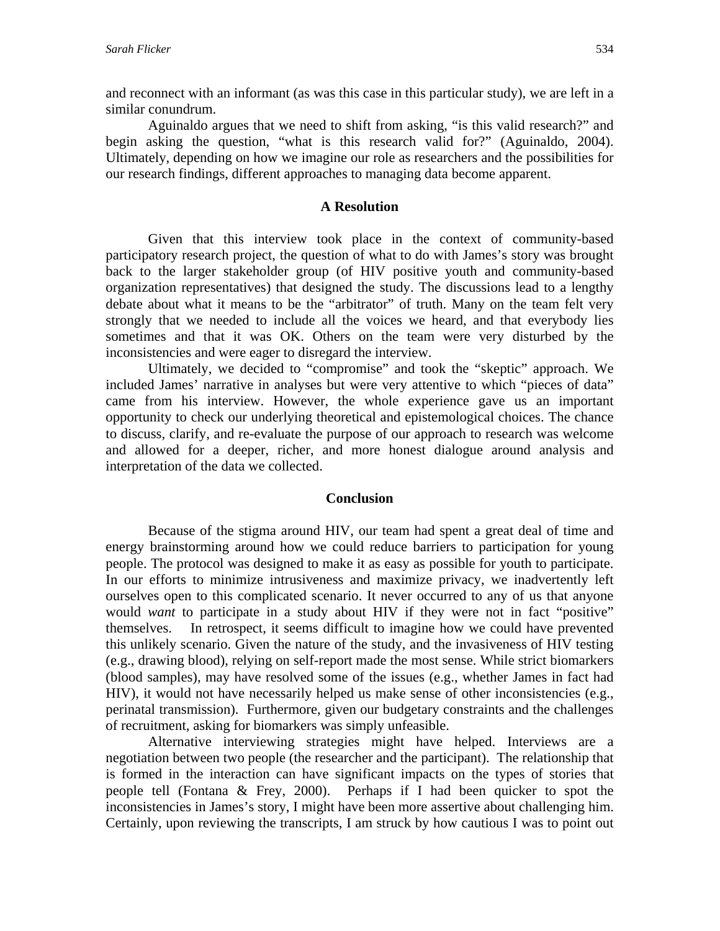and reconnect with an informant (as was this case in this particular study), we are left in a similar conundrum.

 Aguinaldo argues that we need to shift from asking, "is this valid research?" and begin asking the question, "what is this research valid for?" (Aguinaldo, 2004). Ultimately, depending on how we imagine our role as researchers and the possibilities for our research findings, different approaches to managing data become apparent.

# **A Resolution**

 Given that this interview took place in the context of community-based participatory research project, the question of what to do with James's story was brought back to the larger stakeholder group (of HIV positive youth and community-based organization representatives) that designed the study. The discussions lead to a lengthy debate about what it means to be the "arbitrator" of truth. Many on the team felt very strongly that we needed to include all the voices we heard, and that everybody lies sometimes and that it was OK. Others on the team were very disturbed by the inconsistencies and were eager to disregard the interview.

 Ultimately, we decided to "compromise" and took the "skeptic" approach. We included James' narrative in analyses but were very attentive to which "pieces of data" came from his interview. However, the whole experience gave us an important opportunity to check our underlying theoretical and epistemological choices. The chance to discuss, clarify, and re-evaluate the purpose of our approach to research was welcome and allowed for a deeper, richer, and more honest dialogue around analysis and interpretation of the data we collected.

## **Conclusion**

 Because of the stigma around HIV, our team had spent a great deal of time and energy brainstorming around how we could reduce barriers to participation for young people. The protocol was designed to make it as easy as possible for youth to participate. In our efforts to minimize intrusiveness and maximize privacy, we inadvertently left ourselves open to this complicated scenario. It never occurred to any of us that anyone would *want* to participate in a study about HIV if they were not in fact "positive" themselves. In retrospect, it seems difficult to imagine how we could have prevented this unlikely scenario. Given the nature of the study, and the invasiveness of HIV testing (e.g., drawing blood), relying on self-report made the most sense. While strict biomarkers (blood samples), may have resolved some of the issues (e.g., whether James in fact had HIV), it would not have necessarily helped us make sense of other inconsistencies (e.g., perinatal transmission). Furthermore, given our budgetary constraints and the challenges of recruitment, asking for biomarkers was simply unfeasible.

 Alternative interviewing strategies might have helped. Interviews are a negotiation between two people (the researcher and the participant). The relationship that is formed in the interaction can have significant impacts on the types of stories that people tell (Fontana & Frey, 2000). Perhaps if I had been quicker to spot the inconsistencies in James's story, I might have been more assertive about challenging him. Certainly, upon reviewing the transcripts, I am struck by how cautious I was to point out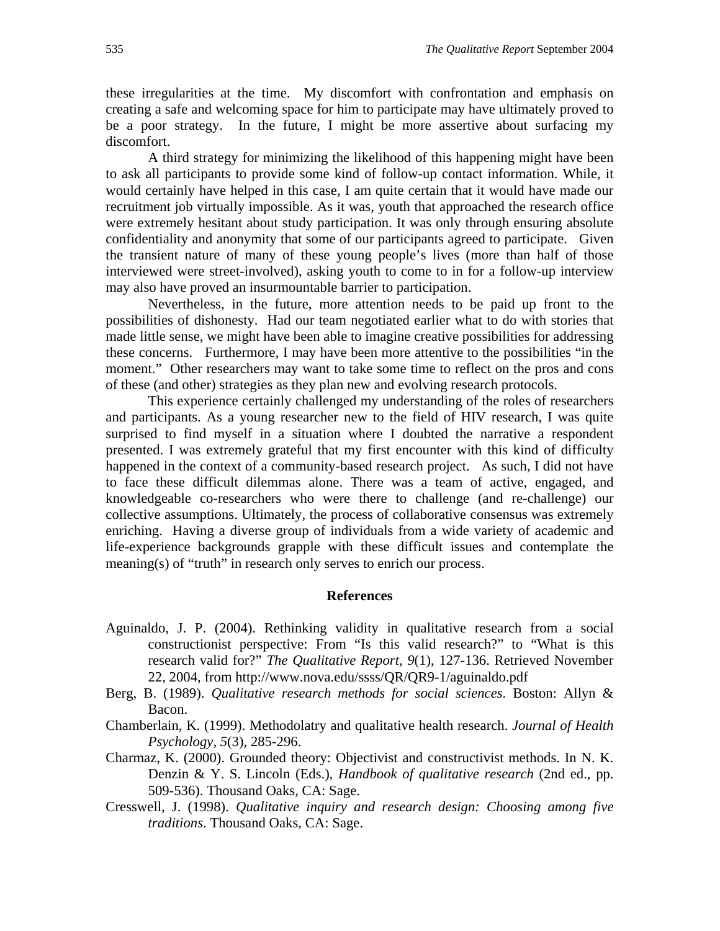these irregularities at the time. My discomfort with confrontation and emphasis on creating a safe and welcoming space for him to participate may have ultimately proved to be a poor strategy. In the future, I might be more assertive about surfacing my discomfort.

 A third strategy for minimizing the likelihood of this happening might have been to ask all participants to provide some kind of follow-up contact information. While, it would certainly have helped in this case, I am quite certain that it would have made our recruitment job virtually impossible. As it was, youth that approached the research office were extremely hesitant about study participation. It was only through ensuring absolute confidentiality and anonymity that some of our participants agreed to participate. Given the transient nature of many of these young people's lives (more than half of those interviewed were street-involved), asking youth to come to in for a follow-up interview may also have proved an insurmountable barrier to participation.

 Nevertheless, in the future, more attention needs to be paid up front to the possibilities of dishonesty. Had our team negotiated earlier what to do with stories that made little sense, we might have been able to imagine creative possibilities for addressing these concerns. Furthermore, I may have been more attentive to the possibilities "in the moment." Other researchers may want to take some time to reflect on the pros and cons of these (and other) strategies as they plan new and evolving research protocols.

 This experience certainly challenged my understanding of the roles of researchers and participants. As a young researcher new to the field of HIV research, I was quite surprised to find myself in a situation where I doubted the narrative a respondent presented. I was extremely grateful that my first encounter with this kind of difficulty happened in the context of a community-based research project. As such, I did not have to face these difficult dilemmas alone. There was a team of active, engaged, and knowledgeable co-researchers who were there to challenge (and re-challenge) our collective assumptions. Ultimately, the process of collaborative consensus was extremely enriching. Having a diverse group of individuals from a wide variety of academic and life-experience backgrounds grapple with these difficult issues and contemplate the meaning(s) of "truth" in research only serves to enrich our process.

#### **References**

- Aguinaldo, J. P. (2004). Rethinking validity in qualitative research from a social constructionist perspective: From "Is this valid research?" to "What is this research valid for?" *The Qualitative Report, 9*(1), 127-136. Retrieved November 22, 2004, from http://www.nova.edu/ssss/QR/QR9-1/aguinaldo.pdf
- Berg, B. (1989). *Qualitative research methods for social sciences*. Boston: Allyn & Bacon.
- Chamberlain, K. (1999). Methodolatry and qualitative health research. *Journal of Health Psychology, 5*(3), 285-296.
- Charmaz, K. (2000). Grounded theory: Objectivist and constructivist methods. In N. K. Denzin & Y. S. Lincoln (Eds.), *Handbook of qualitative research* (2nd ed., pp. 509-536). Thousand Oaks, CA: Sage.
- Cresswell, J. (1998). *Qualitative inquiry and research design: Choosing among five traditions*. Thousand Oaks, CA: Sage.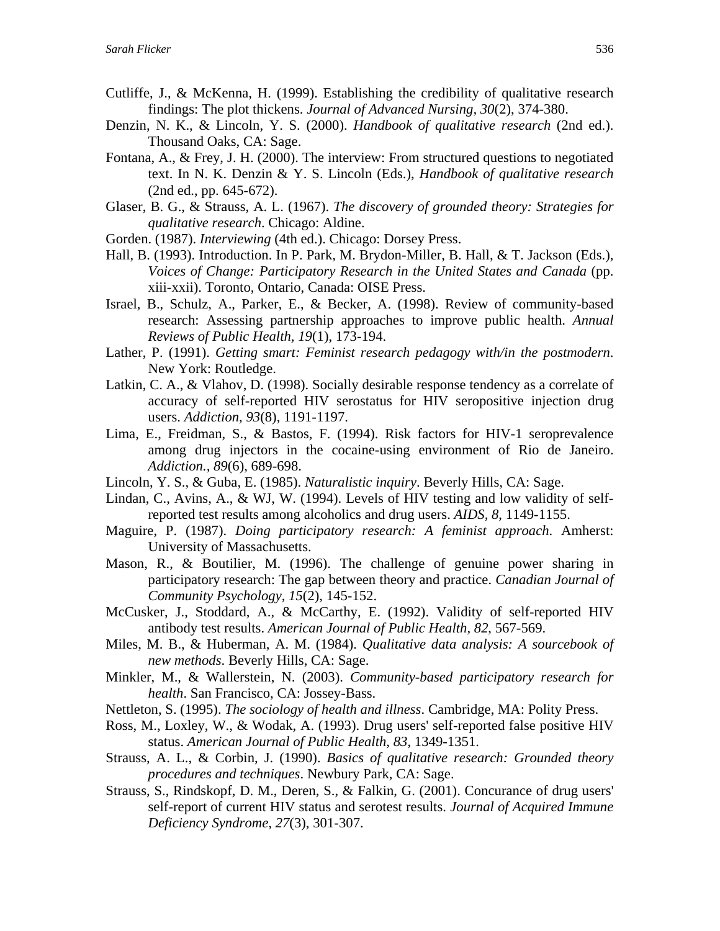- Cutliffe, J., & McKenna, H. (1999). Establishing the credibility of qualitative research findings: The plot thickens. *Journal of Advanced Nursing, 30*(2), 374-380.
- Denzin, N. K., & Lincoln, Y. S. (2000). *Handbook of qualitative research* (2nd ed.). Thousand Oaks, CA: Sage.
- Fontana, A., & Frey, J. H. (2000). The interview: From structured questions to negotiated text. In N. K. Denzin & Y. S. Lincoln (Eds.), *Handbook of qualitative research* (2nd ed., pp. 645-672).
- Glaser, B. G., & Strauss, A. L. (1967). *The discovery of grounded theory: Strategies for qualitative research*. Chicago: Aldine.
- Gorden. (1987). *Interviewing* (4th ed.). Chicago: Dorsey Press.
- Hall, B. (1993). Introduction. In P. Park, M. Brydon-Miller, B. Hall, & T. Jackson (Eds.), *Voices of Change: Participatory Research in the United States and Canada* (pp. xiii-xxii). Toronto, Ontario, Canada: OISE Press.
- Israel, B., Schulz, A., Parker, E., & Becker, A. (1998). Review of community-based research: Assessing partnership approaches to improve public health. *Annual Reviews of Public Health, 19*(1), 173-194.
- Lather, P. (1991). *Getting smart: Feminist research pedagogy with/in the postmodern*. New York: Routledge.
- Latkin, C. A., & Vlahov, D. (1998). Socially desirable response tendency as a correlate of accuracy of self-reported HIV serostatus for HIV seropositive injection drug users. *Addiction, 93*(8), 1191-1197.
- Lima, E., Freidman, S., & Bastos, F. (1994). Risk factors for HIV-1 seroprevalence among drug injectors in the cocaine-using environment of Rio de Janeiro. *Addiction., 89*(6), 689-698.
- Lincoln, Y. S., & Guba, E. (1985). *Naturalistic inquiry*. Beverly Hills, CA: Sage.
- Lindan, C., Avins, A., & WJ, W. (1994). Levels of HIV testing and low validity of selfreported test results among alcoholics and drug users. *AIDS, 8*, 1149-1155.
- Maguire, P. (1987). *Doing participatory research: A feminist approach*. Amherst: University of Massachusetts.
- Mason, R., & Boutilier, M. (1996). The challenge of genuine power sharing in participatory research: The gap between theory and practice. *Canadian Journal of Community Psychology, 15*(2), 145-152.
- McCusker, J., Stoddard, A., & McCarthy, E. (1992). Validity of self-reported HIV antibody test results. *American Journal of Public Health, 82*, 567-569.
- Miles, M. B., & Huberman, A. M. (1984). *Qualitative data analysis: A sourcebook of new methods*. Beverly Hills, CA: Sage.
- Minkler, M., & Wallerstein, N. (2003). *Community-based participatory research for health*. San Francisco, CA: Jossey-Bass.
- Nettleton, S. (1995). *The sociology of health and illness*. Cambridge, MA: Polity Press.
- Ross, M., Loxley, W., & Wodak, A. (1993). Drug users' self-reported false positive HIV status. *American Journal of Public Health, 83*, 1349-1351.
- Strauss, A. L., & Corbin, J. (1990). *Basics of qualitative research: Grounded theory procedures and techniques*. Newbury Park, CA: Sage.
- Strauss, S., Rindskopf, D. M., Deren, S., & Falkin, G. (2001). Concurance of drug users' self-report of current HIV status and serotest results. *Journal of Acquired Immune Deficiency Syndrome, 27*(3), 301-307.